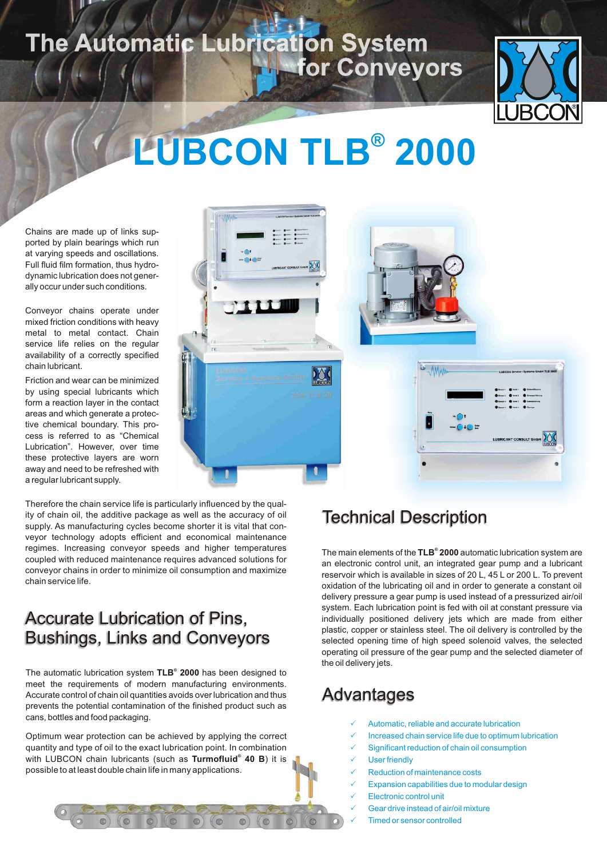## The Automatic Lubrication System **Infor Conveyors**



# **LUBCON TLB<sup>®</sup> 2000**

Chains are made up of links supported by plain bearings which run at varying speeds and oscillations. Full fluid film formation, thus hydrodynamic lubrication does not generally occur under such conditions.

Conveyor chains operate under mixed friction conditions with heavy metal to metal contact. Chain service life relies on the regular availability of a correctly specified chain lubricant.

Friction and wear can be minimized by using special lubricants which form a reaction layer in the contact areas and which generate a protective chemical boundary. This process is referred to as "Chemical Lubrication". However, over time these protective layers are worn away and need to be refreshed with a regular lubricant supply.



Therefore the chain service life is particularly influenced by the quality of chain oil, the additive package as well as the accuracy of oil supply. As manufacturing cycles become shorter it is vital that conveyor technology adopts efficient and economical maintenance regimes. Increasing conveyor speeds and higher temperatures coupled with reduced maintenance requires advanced solutions for conveyor chains in order to minimize oil consumption and maximize chain service life.

## Accurate Lubrication of Pins, Bushings, Links and Conveyors

**®** The automatic lubrication system **TLB 2000** has been designed to meet the requirements of modern manufacturing environments. Accurate control of chain oil quantities avoids over lubrication and thus prevents the potential contamination of the finished product such as cans, bottles and food packaging.

Optimum wear protection can be achieved by applying the correct quantity and type of oil to the exact lubrication point. In combination with LUBCON chain lubricants (such as **Turmofluid<sup>®</sup>** 40 B) it is possible to at least double chain life in many applications.

## Technical Description

**®** The main elements of the **TLB 2000** automatic lubrication system are an electronic control unit, an integrated gear pump and a lubricant reservoir which is available in sizes of 20 L, 45 L or 200 L. To prevent oxidation of the lubricating oil and in order to generate a constant oil delivery pressure a gear pump is used instead of a pressurized air/oil system. Each lubrication point is fed with oil at constant pressure via individually positioned delivery jets which are made from either plastic, copper or stainless steel. The oil delivery is controlled by the selected opening time of high speed solenoid valves, the selected operating oil pressure of the gear pump and the selected diameter of the oil delivery jets.

## Advantages

- Automatic, reliable and accurate lubrication
- $\checkmark$  Increased chain service life due to optimum lubrication
- $\checkmark$  Significant reduction of chain oil consumption
- $\checkmark$  User friendly
- $\checkmark$  Reduction of maintenance costs
- $\checkmark$  Expansion capabilities due to modular design
- $\checkmark$  Electronic control unit
- $\checkmark$  Gear drive instead of air/oil mixture
- $\checkmark$  Timed or sensor controlled